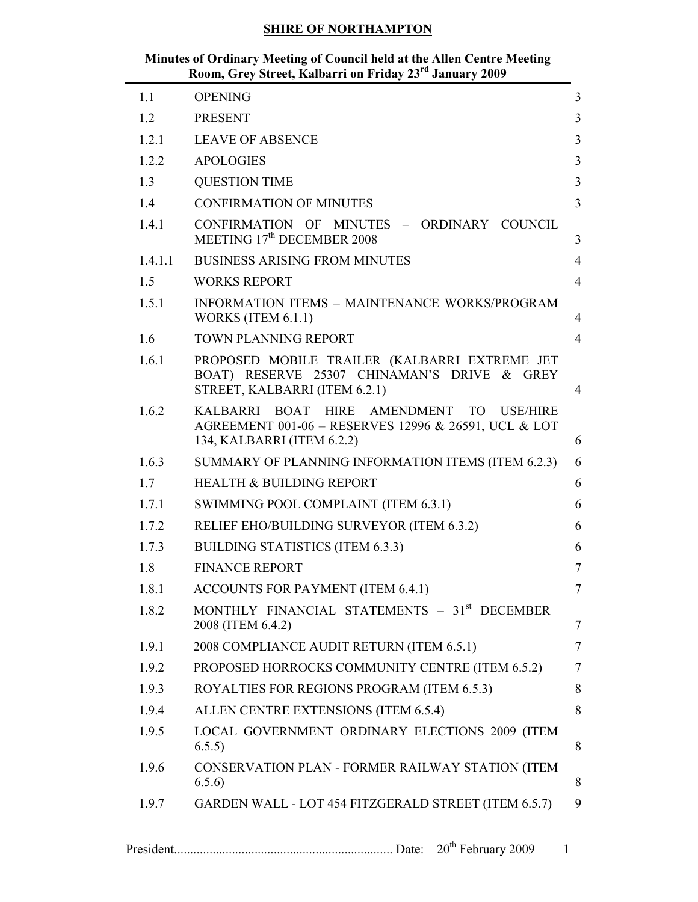## Minutes of Ordinary Meeting of Council held at the Allen Centre Meeting Room, Grey Street, Kalbarri on Friday 23<sup>rd</sup> January 2009

 $\overline{\phantom{0}}$ 

| 1.1     | <b>OPENING</b>                                                                                                                               | $\overline{3}$ |
|---------|----------------------------------------------------------------------------------------------------------------------------------------------|----------------|
| 1.2     | <b>PRESENT</b>                                                                                                                               | 3              |
| 1.2.1   | <b>LEAVE OF ABSENCE</b>                                                                                                                      | 3              |
| 1.2.2   | <b>APOLOGIES</b>                                                                                                                             | 3              |
| 1.3     | <b>QUESTION TIME</b>                                                                                                                         | 3              |
| 1.4     | <b>CONFIRMATION OF MINUTES</b>                                                                                                               | 3              |
| 1.4.1   | CONFIRMATION OF MINUTES - ORDINARY COUNCIL<br>MEETING 17 <sup>th</sup> DECEMBER 2008                                                         | 3              |
| 1.4.1.1 | <b>BUSINESS ARISING FROM MINUTES</b>                                                                                                         | $\overline{4}$ |
| 1.5     | <b>WORKS REPORT</b>                                                                                                                          | $\overline{4}$ |
| 1.5.1   | <b>INFORMATION ITEMS - MAINTENANCE WORKS/PROGRAM</b><br>WORKS (ITEM $6.1.1$ )                                                                | 4              |
| 1.6     | <b>TOWN PLANNING REPORT</b>                                                                                                                  | $\overline{4}$ |
| 1.6.1   | PROPOSED MOBILE TRAILER (KALBARRI EXTREME JET<br>BOAT) RESERVE 25307 CHINAMAN'S DRIVE & GREY<br>STREET, KALBARRI (ITEM 6.2.1)                | $\overline{4}$ |
| 1.6.2   | KALBARRI BOAT HIRE AMENDMENT<br>TO.<br><b>USE/HIRE</b><br>AGREEMENT 001-06 - RESERVES 12996 & 26591, UCL & LOT<br>134, KALBARRI (ITEM 6.2.2) | 6              |
| 1.6.3   | SUMMARY OF PLANNING INFORMATION ITEMS (ITEM 6.2.3)                                                                                           | 6              |
| 1.7     | HEALTH & BUILDING REPORT                                                                                                                     | 6              |
| 1.7.1   | SWIMMING POOL COMPLAINT (ITEM 6.3.1)                                                                                                         | 6              |
| 1.7.2   | RELIEF EHO/BUILDING SURVEYOR (ITEM 6.3.2)                                                                                                    | 6              |
| 1.7.3   | <b>BUILDING STATISTICS (ITEM 6.3.3)</b>                                                                                                      | 6              |
| 1.8     | <b>FINANCE REPORT</b>                                                                                                                        | $\overline{7}$ |
| 1.8.1   | <b>ACCOUNTS FOR PAYMENT (ITEM 6.4.1)</b>                                                                                                     | 7              |
| 1.8.2   | MONTHLY FINANCIAL STATEMENTS - 31 <sup>st</sup> DECEMBER<br>2008 (ITEM 6.4.2)                                                                | $\overline{7}$ |
| 1.9.1   | 2008 COMPLIANCE AUDIT RETURN (ITEM 6.5.1)                                                                                                    | $\tau$         |
| 1.9.2   | PROPOSED HORROCKS COMMUNITY CENTRE (ITEM 6.5.2)                                                                                              | $\tau$         |
| 1.9.3   | ROYALTIES FOR REGIONS PROGRAM (ITEM 6.5.3)                                                                                                   | 8              |
| 1.9.4   | ALLEN CENTRE EXTENSIONS (ITEM 6.5.4)                                                                                                         | 8              |
| 1.9.5   | LOCAL GOVERNMENT ORDINARY ELECTIONS 2009 (ITEM<br>6.5.5)                                                                                     | 8              |
| 1.9.6   | CONSERVATION PLAN - FORMER RAILWAY STATION (ITEM<br>6.5.6)                                                                                   | 8              |
| 1.9.7   | GARDEN WALL - LOT 454 FITZGERALD STREET (ITEM 6.5.7)                                                                                         | 9              |
|         |                                                                                                                                              | 1              |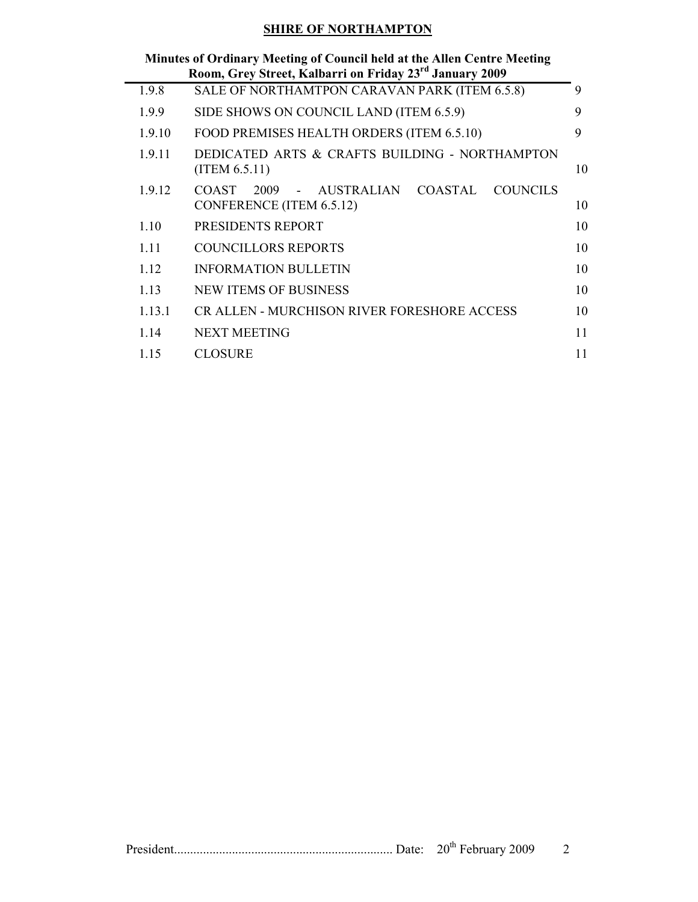|        | Minutes of Ordinary Meeting of Council held at the Allen Centre Meeting<br>Room, Grey Street, Kalbarri on Friday 23 <sup>rd</sup> January 2009 |    |
|--------|------------------------------------------------------------------------------------------------------------------------------------------------|----|
| 1.9.8  | SALE OF NORTHAMTPON CARAVAN PARK (ITEM 6.5.8)                                                                                                  | 9  |
| 1.9.9  | SIDE SHOWS ON COUNCIL LAND (ITEM 6.5.9)                                                                                                        | 9  |
| 1.9.10 | FOOD PREMISES HEALTH ORDERS (ITEM 6.5.10)                                                                                                      | 9  |
| 1.9.11 | DEDICATED ARTS & CRAFTS BUILDING - NORTHAMPTON<br>(ITERM 6.5.11)                                                                               | 10 |
| 1.9.12 | 2009<br>COASTAL<br>COUNCILS<br>COAST.<br>AUSTRALIAN<br>$\Delta \sim 10^{-10}$<br>CONFERENCE (ITEM 6.5.12)                                      | 10 |
| 1.10   | PRESIDENTS REPORT                                                                                                                              | 10 |
| 1 1 1  | <b>COUNCILLORS REPORTS</b>                                                                                                                     | 10 |
| 1 1 2  | <b>INFORMATION BULLETIN</b>                                                                                                                    | 10 |
| 1 1 3  | NEW ITEMS OF BUSINESS                                                                                                                          | 10 |
| 1.13.1 | CR ALLEN - MURCHISON RIVER FORESHORE ACCESS                                                                                                    | 10 |
| 1.14   | <b>NEXT MEETING</b>                                                                                                                            | 11 |
| 1.15   | <b>CLOSURE</b>                                                                                                                                 | 11 |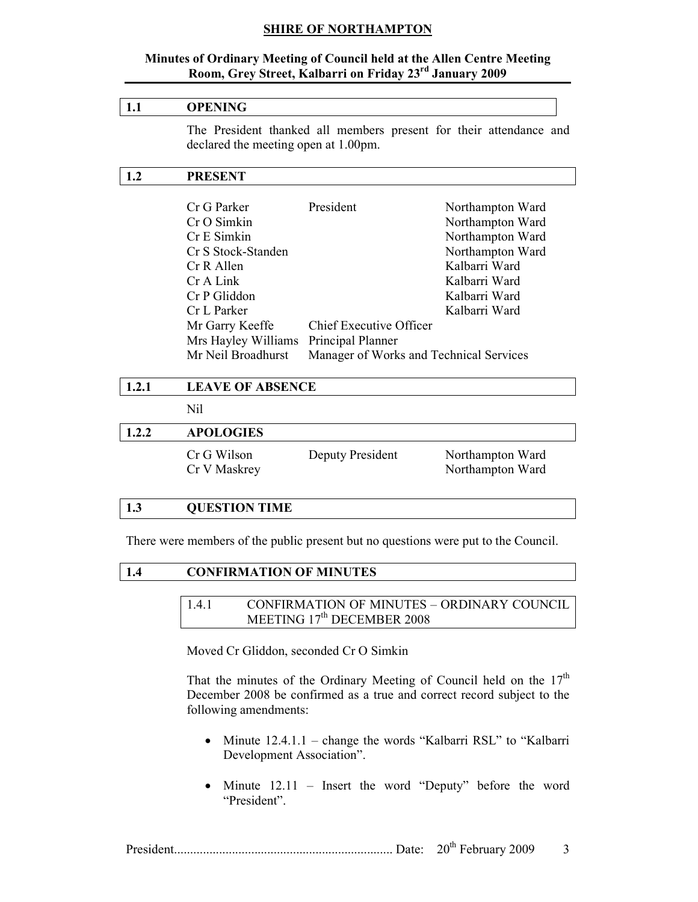### Minutes of Ordinary Meeting of Council held at the Allen Centre Meeting Room, Grey Street, Kalbarri on Friday 23<sup>rd</sup> January 2009

## 1.1 OPENING

The President thanked all members present for their attendance and declared the meeting open at 1.00pm.

### 1.2 PRESENT

| Cr G Parker                           | President                               | Northampton Ward |
|---------------------------------------|-----------------------------------------|------------------|
| Cr O Simkin                           |                                         | Northampton Ward |
| Cr E Simkin                           |                                         | Northampton Ward |
| Cr S Stock-Standen                    |                                         | Northampton Ward |
| Cr R Allen                            |                                         | Kalbarri Ward    |
| Cr A Link                             |                                         | Kalbarri Ward    |
| Cr P Gliddon                          |                                         | Kalbarri Ward    |
| Cr L Parker                           |                                         | Kalbarri Ward    |
| Mr Garry Keeffe                       | Chief Executive Officer                 |                  |
| Mrs Hayley Williams Principal Planner |                                         |                  |
| Mr Neil Broadhurst                    | Manager of Works and Technical Services |                  |

| 1.2.1 | <b>LEAVE OF ABSENCE</b>     |                  |                                      |  |  |  |
|-------|-----------------------------|------------------|--------------------------------------|--|--|--|
|       | Nil                         |                  |                                      |  |  |  |
| 1.2.2 | <b>APOLOGIES</b>            |                  |                                      |  |  |  |
|       | Cr G Wilson<br>Cr V Maskrey | Deputy President | Northampton Ward<br>Northampton Ward |  |  |  |

# 1.3 QUESTION TIME

There were members of the public present but no questions were put to the Council.

| <b>CONFIRMATION OF MINUTES</b> |  |  |  |  |  |
|--------------------------------|--|--|--|--|--|
|                                |  |  |  |  |  |
|                                |  |  |  |  |  |

1.4.1 CONFIRMATION OF MINUTES – ORDINARY COUNCIL MEETING 17<sup>th</sup> DECEMBER 2008

Moved Cr Gliddon, seconded Cr O Simkin

That the minutes of the Ordinary Meeting of Council held on the  $17<sup>th</sup>$ December 2008 be confirmed as a true and correct record subject to the following amendments:

- Minute 12.4.1.1 change the words "Kalbarri RSL" to "Kalbarri Development Association".
- Minute 12.11 Insert the word "Deputy" before the word "President".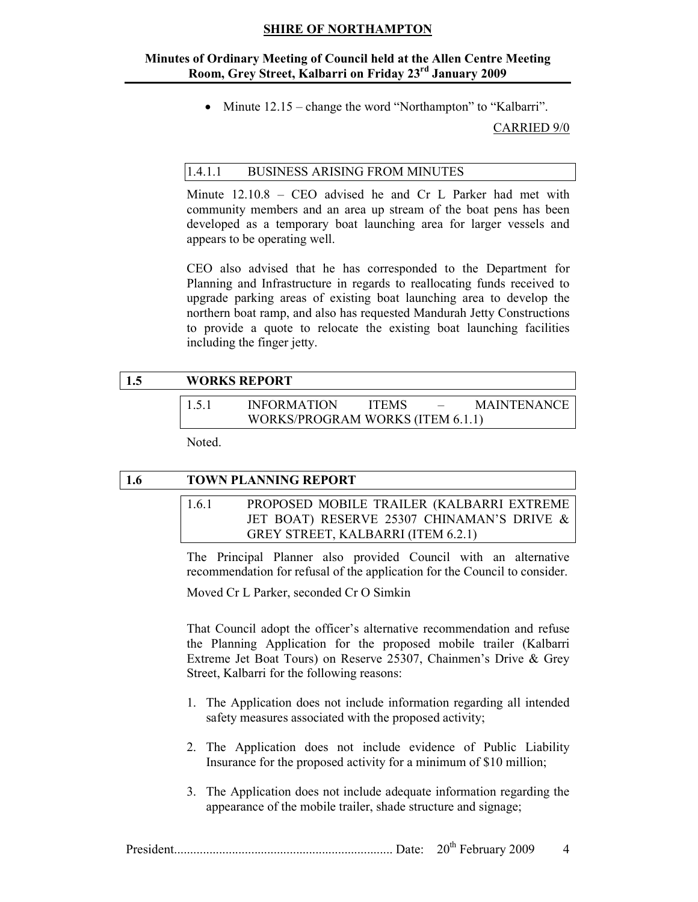### Minutes of Ordinary Meeting of Council held at the Allen Centre Meeting Room, Grey Street, Kalbarri on Friday 23rd January 2009

• Minute  $12.15$  – change the word "Northampton" to "Kalbarri".

CARRIED 9/0

## 1.4.1.1 BUSINESS ARISING FROM MINUTES

 Minute 12.10.8 – CEO advised he and Cr L Parker had met with community members and an area up stream of the boat pens has been developed as a temporary boat launching area for larger vessels and appears to be operating well.

 CEO also advised that he has corresponded to the Department for Planning and Infrastructure in regards to reallocating funds received to upgrade parking areas of existing boat launching area to develop the northern boat ramp, and also has requested Mandurah Jetty Constructions to provide a quote to relocate the existing boat launching facilities including the finger jetty.

## 1.5 WORKS REPORT

| 1.5.1 | <b>INFORMATION</b>               | <b>ITEMS</b> | $\sim$ | <b>MAINTENANCE</b> |
|-------|----------------------------------|--------------|--------|--------------------|
|       | WORKS/PROGRAM WORKS (ITEM 6.1.1) |              |        |                    |

Noted.

| 1.6 | <b>TOWN PLANNING REPORT</b> |  |  |  |                                    |  |  |  |                                                                 |  |
|-----|-----------------------------|--|--|--|------------------------------------|--|--|--|-----------------------------------------------------------------|--|
|     | 161                         |  |  |  |                                    |  |  |  | PROPOSED MOBILE TRAILER (KALBARRI EXTREME                       |  |
|     |                             |  |  |  |                                    |  |  |  | JET BOAT) RESERVE 25307 CHINAMAN'S DRIVE &                      |  |
|     |                             |  |  |  | GREY STREET, KALBARRI (ITEM 6.2.1) |  |  |  |                                                                 |  |
|     |                             |  |  |  |                                    |  |  |  | The Principal Planner also provided Council with an alternative |  |

recommendation for refusal of the application for the Council to consider.

Moved Cr L Parker, seconded Cr O Simkin

That Council adopt the officer's alternative recommendation and refuse the Planning Application for the proposed mobile trailer (Kalbarri Extreme Jet Boat Tours) on Reserve 25307, Chainmen's Drive & Grey Street, Kalbarri for the following reasons:

- 1. The Application does not include information regarding all intended safety measures associated with the proposed activity;
- 2. The Application does not include evidence of Public Liability Insurance for the proposed activity for a minimum of \$10 million;
- 3. The Application does not include adequate information regarding the appearance of the mobile trailer, shade structure and signage;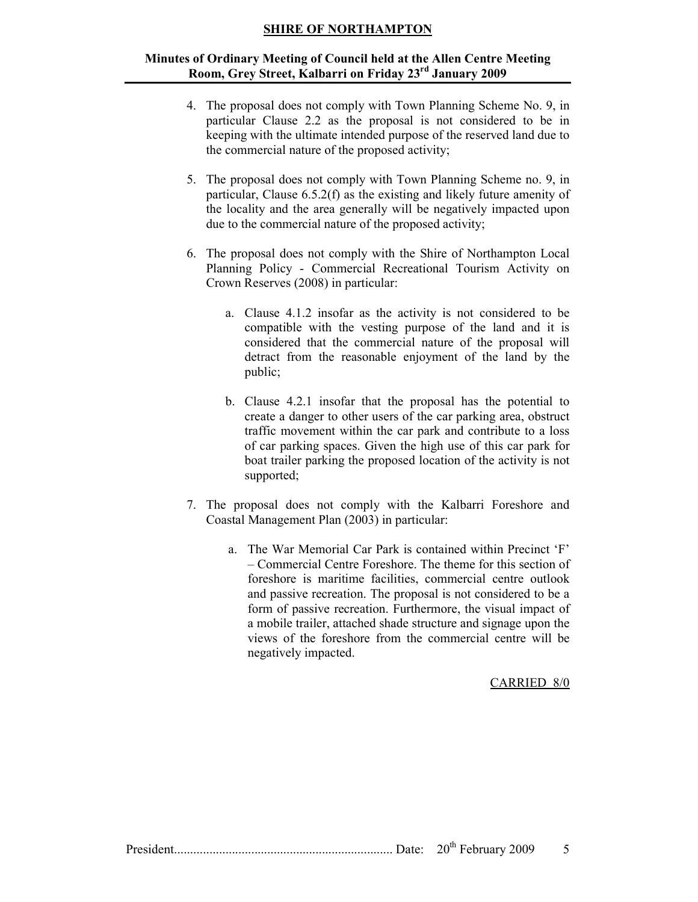### Minutes of Ordinary Meeting of Council held at the Allen Centre Meeting Room, Grey Street, Kalbarri on Friday 23rd January 2009

- 4. The proposal does not comply with Town Planning Scheme No. 9, in particular Clause 2.2 as the proposal is not considered to be in keeping with the ultimate intended purpose of the reserved land due to the commercial nature of the proposed activity;
- 5. The proposal does not comply with Town Planning Scheme no. 9, in particular, Clause 6.5.2(f) as the existing and likely future amenity of the locality and the area generally will be negatively impacted upon due to the commercial nature of the proposed activity;
- 6. The proposal does not comply with the Shire of Northampton Local Planning Policy - Commercial Recreational Tourism Activity on Crown Reserves (2008) in particular:
	- a. Clause 4.1.2 insofar as the activity is not considered to be compatible with the vesting purpose of the land and it is considered that the commercial nature of the proposal will detract from the reasonable enjoyment of the land by the public;
	- b. Clause 4.2.1 insofar that the proposal has the potential to create a danger to other users of the car parking area, obstruct traffic movement within the car park and contribute to a loss of car parking spaces. Given the high use of this car park for boat trailer parking the proposed location of the activity is not supported;
- 7. The proposal does not comply with the Kalbarri Foreshore and Coastal Management Plan (2003) in particular:
	- a. The War Memorial Car Park is contained within Precinct 'F' – Commercial Centre Foreshore. The theme for this section of foreshore is maritime facilities, commercial centre outlook and passive recreation. The proposal is not considered to be a form of passive recreation. Furthermore, the visual impact of a mobile trailer, attached shade structure and signage upon the views of the foreshore from the commercial centre will be negatively impacted.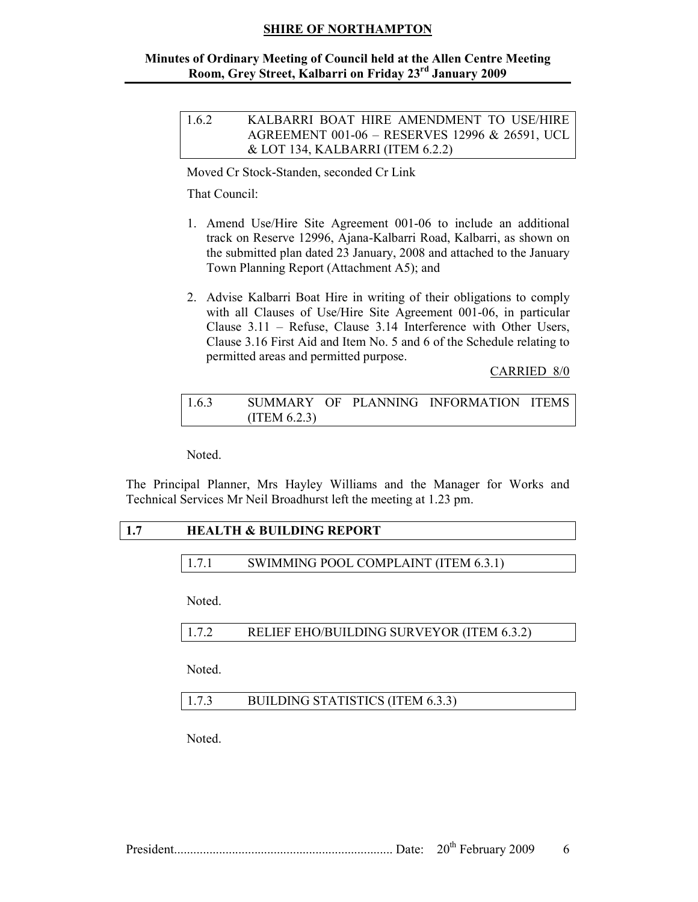## Minutes of Ordinary Meeting of Council held at the Allen Centre Meeting Room, Grey Street, Kalbarri on Friday 23rd January 2009

| 1.6.2 | KALBARRI BOAT HIRE AMENDMENT TO USE/HIRE       |
|-------|------------------------------------------------|
|       | AGREEMENT 001-06 - RESERVES 12996 & 26591, UCL |
|       | $&$ LOT 134, KALBARRI (ITEM 6.2.2)             |

Moved Cr Stock-Standen, seconded Cr Link

That Council:

- 1. Amend Use/Hire Site Agreement 001-06 to include an additional track on Reserve 12996, Ajana-Kalbarri Road, Kalbarri, as shown on the submitted plan dated 23 January, 2008 and attached to the January Town Planning Report (Attachment A5); and
- 2. Advise Kalbarri Boat Hire in writing of their obligations to comply with all Clauses of Use/Hire Site Agreement 001-06, in particular Clause 3.11 – Refuse, Clause 3.14 Interference with Other Users, Clause 3.16 First Aid and Item No. 5 and 6 of the Schedule relating to permitted areas and permitted purpose.

CARRIED 8/0

| 1.6.3 |               |  | SUMMARY OF PLANNING INFORMATION ITEMS |  |
|-------|---------------|--|---------------------------------------|--|
|       | (ITERM 6.2.3) |  |                                       |  |

Noted.

The Principal Planner, Mrs Hayley Williams and the Manager for Works and Technical Services Mr Neil Broadhurst left the meeting at 1.23 pm.

### 1.7 HEALTH & BUILDING REPORT

1.7.1 SWIMMING POOL COMPLAINT (ITEM 6.3.1)

Noted.

| RELIEF EHO/BUILDING SURVEYOR (ITEM 6.3.2)<br>1.7.2 |  |
|----------------------------------------------------|--|
|----------------------------------------------------|--|

Noted.

| 1.7.3 | BUILDING STATISTICS (ITEM 6.3.3) |  |
|-------|----------------------------------|--|
|-------|----------------------------------|--|

Noted.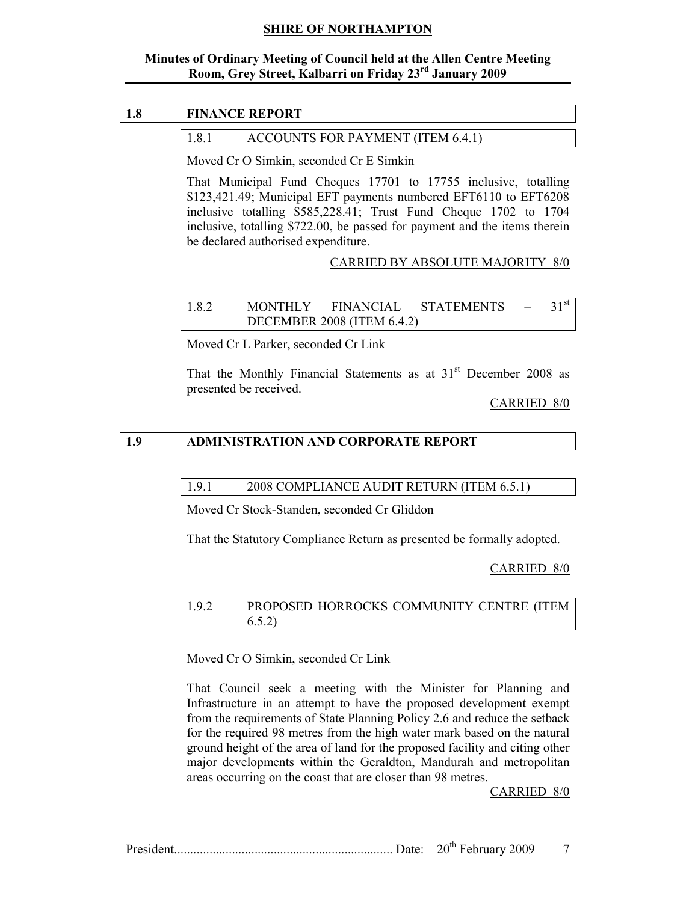### Minutes of Ordinary Meeting of Council held at the Allen Centre Meeting Room, Grey Street, Kalbarri on Friday 23rd January 2009

### 1.8 FINANCE REPORT

#### 1.8.1 ACCOUNTS FOR PAYMENT (ITEM 6.4.1)

Moved Cr O Simkin, seconded Cr E Simkin

That Municipal Fund Cheques 17701 to 17755 inclusive, totalling \$123,421.49; Municipal EFT payments numbered EFT6110 to EFT6208 inclusive totalling \$585,228.41; Trust Fund Cheque 1702 to 1704 inclusive, totalling \$722.00, be passed for payment and the items therein be declared authorised expenditure.

### CARRIED BY ABSOLUTE MAJORITY 8/0

| 1.8.2 | <b>MONTHLY</b> | FINANCIAL                         | STATEMENTS | $\sim$ $-$ | $31^{\rm st}$ |
|-------|----------------|-----------------------------------|------------|------------|---------------|
|       |                | <b>DECEMBER 2008 (ITEM 6.4.2)</b> |            |            |               |

Moved Cr L Parker, seconded Cr Link

That the Monthly Financial Statements as at  $31<sup>st</sup>$  December 2008 as presented be received.

CARRIED 8/0

#### 1.9 ADMINISTRATION AND CORPORATE REPORT

#### 1.9.1 2008 COMPLIANCE AUDIT RETURN (ITEM 6.5.1)

Moved Cr Stock-Standen, seconded Cr Gliddon

That the Statutory Compliance Return as presented be formally adopted.

#### CARRIED 8/0

### 1.9.2 PROPOSED HORROCKS COMMUNITY CENTRE (ITEM 6.5.2)

Moved Cr O Simkin, seconded Cr Link

 That Council seek a meeting with the Minister for Planning and Infrastructure in an attempt to have the proposed development exempt from the requirements of State Planning Policy 2.6 and reduce the setback for the required 98 metres from the high water mark based on the natural ground height of the area of land for the proposed facility and citing other major developments within the Geraldton, Mandurah and metropolitan areas occurring on the coast that are closer than 98 metres.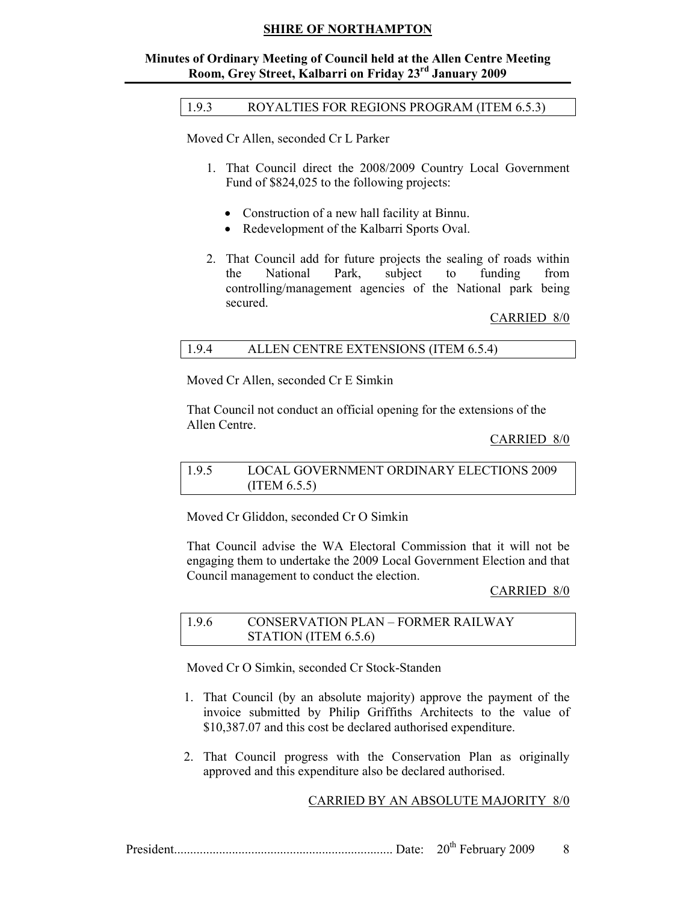### Minutes of Ordinary Meeting of Council held at the Allen Centre Meeting Room, Grey Street, Kalbarri on Friday 23rd January 2009

#### 1.9.3 ROYALTIES FOR REGIONS PROGRAM (ITEM 6.5.3)

Moved Cr Allen, seconded Cr L Parker

- 1. That Council direct the 2008/2009 Country Local Government Fund of \$824,025 to the following projects:
	- Construction of a new hall facility at Binnu.
	- Redevelopment of the Kalbarri Sports Oval.
- 2. That Council add for future projects the sealing of roads within the National Park, subject to funding from controlling/management agencies of the National park being secured.

#### CARRIED 8/0

#### 1.9.4 ALLEN CENTRE EXTENSIONS (ITEM 6.5.4)

Moved Cr Allen, seconded Cr E Simkin

 That Council not conduct an official opening for the extensions of the Allen Centre.

#### CARRIED 8/0

| 1.9.5 | LOCAL GOVERNMENT ORDINARY ELECTIONS 2009 |
|-------|------------------------------------------|
|       | (ITEM $6.5.5$ )                          |

Moved Cr Gliddon, seconded Cr O Simkin

That Council advise the WA Electoral Commission that it will not be engaging them to undertake the 2009 Local Government Election and that Council management to conduct the election.

#### CARRIED 8/0

| 1.9.6 | CONSERVATION PLAN – FORMER RAILWAY |
|-------|------------------------------------|
|       | STATION (ITEM 6.5.6)               |

Moved Cr O Simkin, seconded Cr Stock-Standen

- 1. That Council (by an absolute majority) approve the payment of the invoice submitted by Philip Griffiths Architects to the value of \$10,387.07 and this cost be declared authorised expenditure.
- 2. That Council progress with the Conservation Plan as originally approved and this expenditure also be declared authorised.

## CARRIED BY AN ABSOLUTE MAJORITY 8/0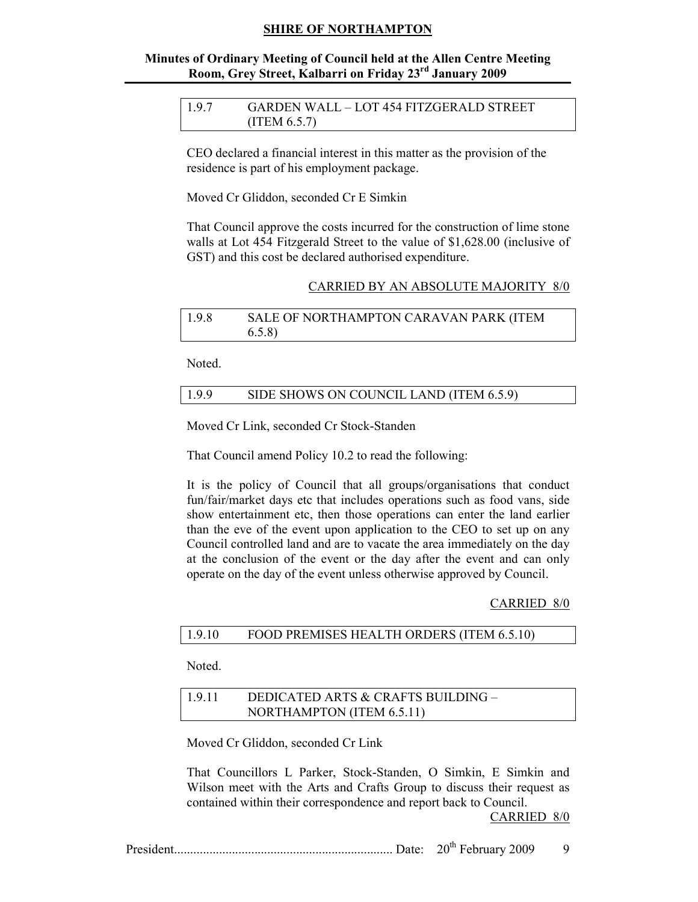### Minutes of Ordinary Meeting of Council held at the Allen Centre Meeting Room, Grey Street, Kalbarri on Friday 23rd January 2009

| 1.9.7 | GARDEN WALL - LOT 454 FITZGERALD STREET |
|-------|-----------------------------------------|
|       | (ITERM 6.5.7)                           |

 CEO declared a financial interest in this matter as the provision of the residence is part of his employment package.

Moved Cr Gliddon, seconded Cr E Simkin

 That Council approve the costs incurred for the construction of lime stone walls at Lot 454 Fitzgerald Street to the value of \$1,628.00 (inclusive of GST) and this cost be declared authorised expenditure.

#### CARRIED BY AN ABSOLUTE MAJORITY 8/0

| 1.9.8 | SALE OF NORTHAMPTON CARAVAN PARK (ITEM |
|-------|----------------------------------------|
|       | (6.5.8)                                |

Noted.

| 1.9.9 | SIDE SHOWS ON COUNCIL LAND (ITEM 6.5.9) |  |
|-------|-----------------------------------------|--|
|-------|-----------------------------------------|--|

Moved Cr Link, seconded Cr Stock-Standen

That Council amend Policy 10.2 to read the following:

It is the policy of Council that all groups/organisations that conduct fun/fair/market days etc that includes operations such as food vans, side show entertainment etc, then those operations can enter the land earlier than the eve of the event upon application to the CEO to set up on any Council controlled land and are to vacate the area immediately on the day at the conclusion of the event or the day after the event and can only operate on the day of the event unless otherwise approved by Council.

#### CARRIED 8/0

| 1.9.10<br>FOOD PREMISES HEALTH ORDERS (ITEM 6.5.10) |  |  |
|-----------------------------------------------------|--|--|
|-----------------------------------------------------|--|--|

Noted.

| 1.9.11 | DEDICATED ARTS & CRAFTS BUILDING - |
|--------|------------------------------------|
|        | NORTHAMPTON (ITEM 6.5.11)          |

Moved Cr Gliddon, seconded Cr Link

 That Councillors L Parker, Stock-Standen, O Simkin, E Simkin and Wilson meet with the Arts and Crafts Group to discuss their request as contained within their correspondence and report back to Council.

|  |  | $20th$ February 2009 |  |  |
|--|--|----------------------|--|--|
|--|--|----------------------|--|--|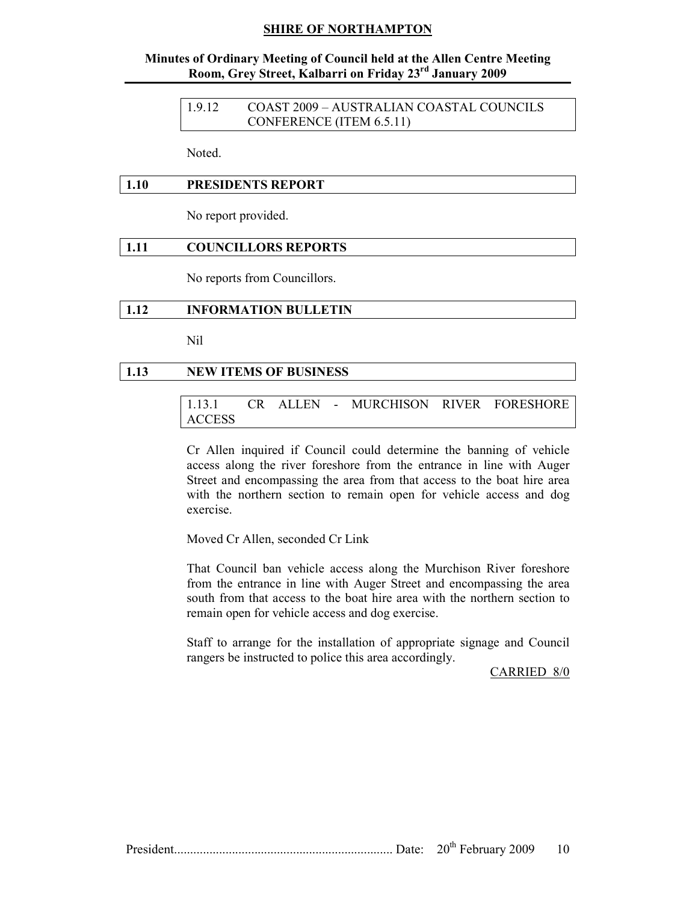### Minutes of Ordinary Meeting of Council held at the Allen Centre Meeting Room, Grey Street, Kalbarri on Friday 23rd January 2009

1.9.12 COAST 2009 – AUSTRALIAN COASTAL COUNCILS CONFERENCE (ITEM 6.5.11)

Noted.

#### 1.10 PRESIDENTS REPORT

No report provided.

#### 1.11 COUNCILLORS REPORTS

No reports from Councillors.

#### 1.12 INFORMATION BULLETIN

Nil

#### 1.13 NEW ITEMS OF BUSINESS

### 1.13.1 CR ALLEN - MURCHISON RIVER FORESHORE ACCESS

Cr Allen inquired if Council could determine the banning of vehicle access along the river foreshore from the entrance in line with Auger Street and encompassing the area from that access to the boat hire area with the northern section to remain open for vehicle access and dog exercise.

Moved Cr Allen, seconded Cr Link

That Council ban vehicle access along the Murchison River foreshore from the entrance in line with Auger Street and encompassing the area south from that access to the boat hire area with the northern section to remain open for vehicle access and dog exercise.

Staff to arrange for the installation of appropriate signage and Council rangers be instructed to police this area accordingly.